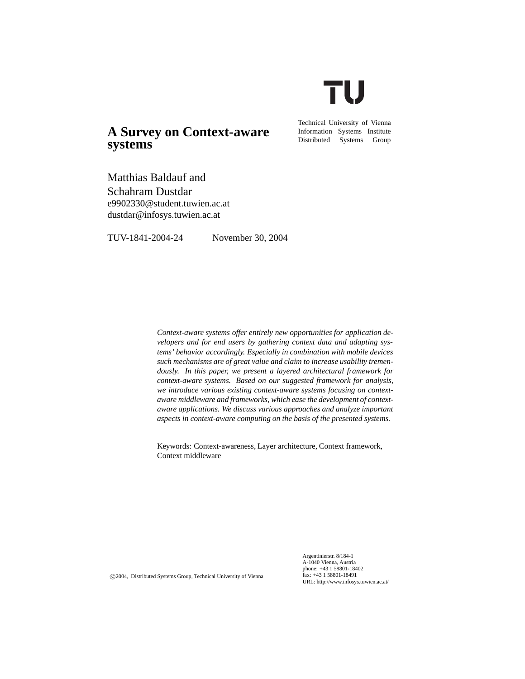

# **A Survey on Context-aware systems**

Technical University of Vienna Information Systems Institute Distributed Systems Group

Matthias Baldauf and Schahram Dustdar e9902330@student.tuwien.ac.at dustdar@infosys.tuwien.ac.at

TUV-1841-2004-24 November 30, 2004

*Context-aware systems offer entirely new opportunities for application developers and for end users by gathering context data and adapting systems' behavior accordingly. Especially in combination with mobile devices such mechanisms are of great value and claim to increase usability tremendously. In this paper, we present a layered architectural framework for context-aware systems. Based on our suggested framework for analysis, we introduce various existing context-aware systems focusing on contextaware middleware and frameworks, which ease the development of contextaware applications. We discuss various approaches and analyze important aspects in context-aware computing on the basis of the presented systems.*

Keywords: Context-awareness, Layer architecture, Context framework, Context middleware

> Argentinierstr. 8/184-1 A-1040 Vienna, Austria phone: +43 1 58801-18402 fax: +43 1 58801-18491 URL: http://www.infosys.tuwien.ac.at/

c 2004, Distributed Systems Group, Technical University of Vienna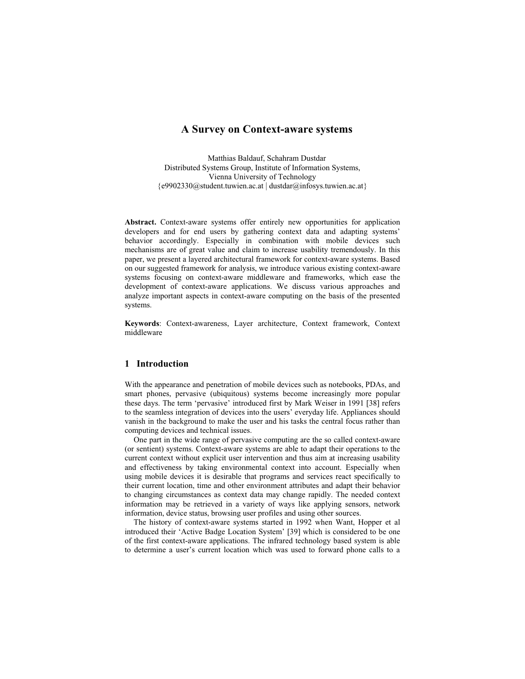# **A Survey on Context-aware systems**

Matthias Baldauf, Schahram Dustdar Distributed Systems Group, Institute of Information Systems, Vienna University of Technology  ${e9902330}$ @student.tuwien.ac.at | dustdar@infosys.tuwien.ac.at }

**Abstract.** Context-aware systems offer entirely new opportunities for application developers and for end users by gathering context data and adapting systems' behavior accordingly. Especially in combination with mobile devices such mechanisms are of great value and claim to increase usability tremendously. In this paper, we present a layered architectural framework for context-aware systems. Based on our suggested framework for analysis, we introduce various existing context-aware systems focusing on context-aware middleware and frameworks, which ease the development of context-aware applications. We discuss various approaches and analyze important aspects in context-aware computing on the basis of the presented systems.

**Keywords**: Context-awareness, Layer architecture, Context framework, Context middleware

# **1 Introduction**

With the appearance and penetration of mobile devices such as notebooks, PDAs, and smart phones, pervasive (ubiquitous) systems become increasingly more popular these days. The term 'pervasive' introduced first by Mark Weiser in 1991 [38] refers to the seamless integration of devices into the users' everyday life. Appliances should vanish in the background to make the user and his tasks the central focus rather than computing devices and technical issues.

One part in the wide range of pervasive computing are the so called context-aware (or sentient) systems. Context-aware systems are able to adapt their operations to the current context without explicit user intervention and thus aim at increasing usability and effectiveness by taking environmental context into account. Especially when using mobile devices it is desirable that programs and services react specifically to their current location, time and other environment attributes and adapt their behavior to changing circumstances as context data may change rapidly. The needed context information may be retrieved in a variety of ways like applying sensors, network information, device status, browsing user profiles and using other sources.

The history of context-aware systems started in 1992 when Want, Hopper et al introduced their 'Active Badge Location System' [39] which is considered to be one of the first context-aware applications. The infrared technology based system is able to determine a user's current location which was used to forward phone calls to a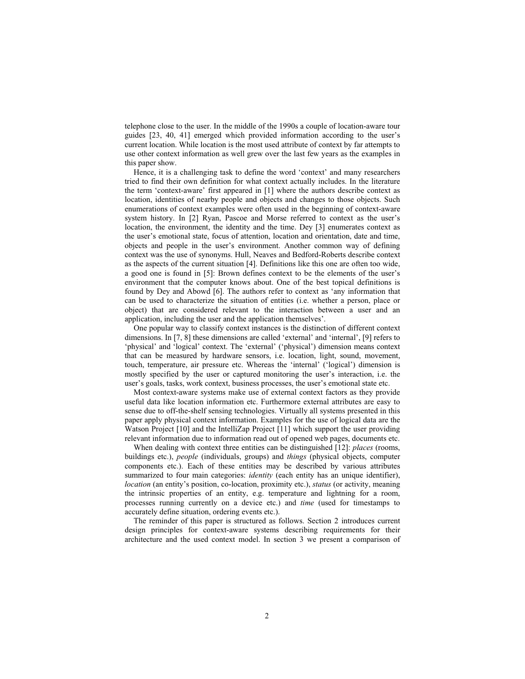telephone close to the user. In the middle of the 1990s a couple of location-aware tour guides [23, 40, 41] emerged which provided information according to the user's current location. While location is the most used attribute of context by far attempts to use other context information as well grew over the last few years as the examples in this paper show.

Hence, it is a challenging task to define the word 'context' and many researchers tried to find their own definition for what context actually includes. In the literature the term 'context-aware' first appeared in [1] where the authors describe context as location, identities of nearby people and objects and changes to those objects. Such enumerations of context examples were often used in the beginning of context-aware system history. In [2] Ryan, Pascoe and Morse referred to context as the user's location, the environment, the identity and the time. Dey [3] enumerates context as the user's emotional state, focus of attention, location and orientation, date and time, objects and people in the user's environment. Another common way of defining context was the use of synonyms. Hull, Neaves and Bedford-Roberts describe context as the aspects of the current situation [4]. Definitions like this one are often too wide, a good one is found in [5]: Brown defines context to be the elements of the user's environment that the computer knows about. One of the best topical definitions is found by Dey and Abowd [6]. The authors refer to context as 'any information that can be used to characterize the situation of entities (i.e. whether a person, place or object) that are considered relevant to the interaction between a user and an application, including the user and the application themselves'.

One popular way to classify context instances is the distinction of different context dimensions. In [7, 8] these dimensions are called 'external' and 'internal', [9] refers to 'physical' and 'logical' context. The 'external' ('physical') dimension means context that can be measured by hardware sensors, i.e. location, light, sound, movement, touch, temperature, air pressure etc. Whereas the 'internal' ('logical') dimension is mostly specified by the user or captured monitoring the user's interaction, i.e. the user's goals, tasks, work context, business processes, the user's emotional state etc.

Most context-aware systems make use of external context factors as they provide useful data like location information etc. Furthermore external attributes are easy to sense due to off-the-shelf sensing technologies. Virtually all systems presented in this paper apply physical context information. Examples for the use of logical data are the Watson Project [10] and the IntelliZap Project [11] which support the user providing relevant information due to information read out of opened web pages, documents etc.

When dealing with context three entities can be distinguished [12]: *places* (rooms, buildings etc.), *people* (individuals, groups) and *things* (physical objects, computer components etc.). Each of these entities may be described by various attributes summarized to four main categories: *identity* (each entity has an unique identifier), *location* (an entity's position, co-location, proximity etc.), *status* (or activity, meaning the intrinsic properties of an entity, e.g. temperature and lightning for a room, processes running currently on a device etc.) and *time* (used for timestamps to accurately define situation, ordering events etc.).

The reminder of this paper is structured as follows. Section 2 introduces current design principles for context-aware systems describing requirements for their architecture and the used context model. In section 3 we present a comparison of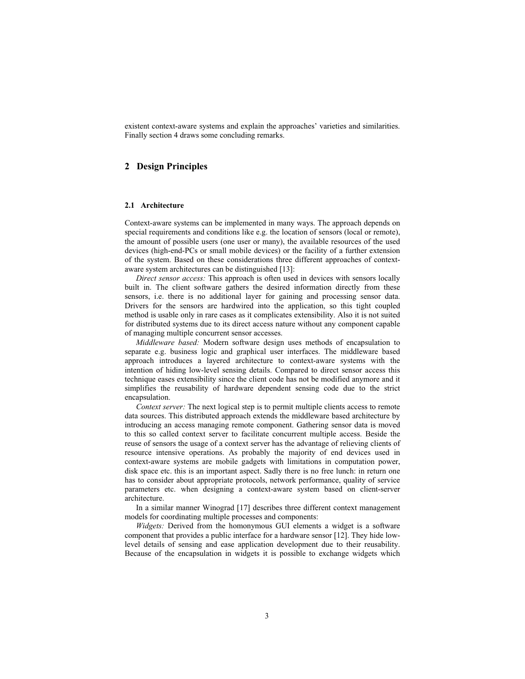existent context-aware systems and explain the approaches' varieties and similarities. Finally section 4 draws some concluding remarks.

# **2 Design Principles**

#### **2.1 Architecture**

Context-aware systems can be implemented in many ways. The approach depends on special requirements and conditions like e.g. the location of sensors (local or remote), the amount of possible users (one user or many), the available resources of the used devices (high-end-PCs or small mobile devices) or the facility of a further extension of the system. Based on these considerations three different approaches of contextaware system architectures can be distinguished [13]:

*Direct sensor access:* This approach is often used in devices with sensors locally built in. The client software gathers the desired information directly from these sensors, i.e. there is no additional layer for gaining and processing sensor data. Drivers for the sensors are hardwired into the application, so this tight coupled method is usable only in rare cases as it complicates extensibility. Also it is not suited for distributed systems due to its direct access nature without any component capable of managing multiple concurrent sensor accesses.

*Middleware based:* Modern software design uses methods of encapsulation to separate e.g. business logic and graphical user interfaces. The middleware based approach introduces a layered architecture to context-aware systems with the intention of hiding low-level sensing details. Compared to direct sensor access this technique eases extensibility since the client code has not be modified anymore and it simplifies the reusability of hardware dependent sensing code due to the strict encapsulation.

*Context server:* The next logical step is to permit multiple clients access to remote data sources. This distributed approach extends the middleware based architecture by introducing an access managing remote component. Gathering sensor data is moved to this so called context server to facilitate concurrent multiple access. Beside the reuse of sensors the usage of a context server has the advantage of relieving clients of resource intensive operations. As probably the majority of end devices used in context-aware systems are mobile gadgets with limitations in computation power, disk space etc. this is an important aspect. Sadly there is no free lunch: in return one has to consider about appropriate protocols, network performance, quality of service parameters etc. when designing a context-aware system based on client-server architecture.

In a similar manner Winograd [17] describes three different context management models for coordinating multiple processes and components:

*Widgets:* Derived from the homonymous GUI elements a widget is a software component that provides a public interface for a hardware sensor [12]. They hide lowlevel details of sensing and ease application development due to their reusability. Because of the encapsulation in widgets it is possible to exchange widgets which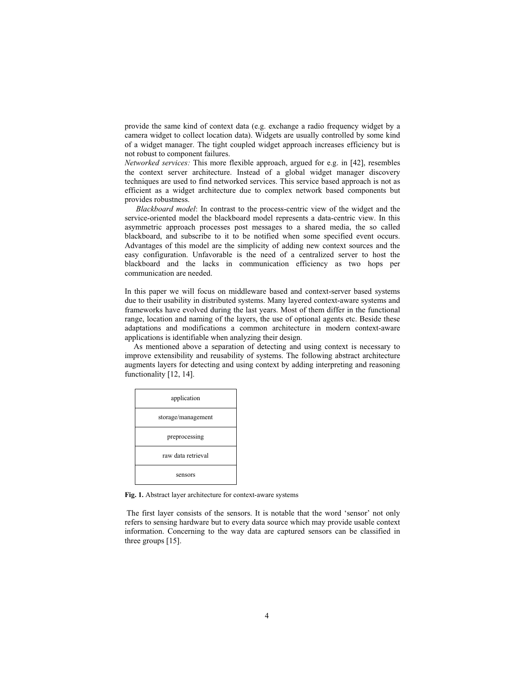provide the same kind of context data (e.g. exchange a radio frequency widget by a camera widget to collect location data). Widgets are usually controlled by some kind of a widget manager. The tight coupled widget approach increases efficiency but is not robust to component failures.

*Networked services:* This more flexible approach, argued for e.g. in [42], resembles the context server architecture. Instead of a global widget manager discovery techniques are used to find networked services. This service based approach is not as efficient as a widget architecture due to complex network based components but provides robustness.

*Blackboard model*: In contrast to the process-centric view of the widget and the service-oriented model the blackboard model represents a data-centric view. In this asymmetric approach processes post messages to a shared media, the so called blackboard, and subscribe to it to be notified when some specified event occurs. Advantages of this model are the simplicity of adding new context sources and the easy configuration. Unfavorable is the need of a centralized server to host the blackboard and the lacks in communication efficiency as two hops per communication are needed.

In this paper we will focus on middleware based and context-server based systems due to their usability in distributed systems. Many layered context-aware systems and frameworks have evolved during the last years. Most of them differ in the functional range, location and naming of the layers, the use of optional agents etc. Beside these adaptations and modifications a common architecture in modern context-aware applications is identifiable when analyzing their design.

As mentioned above a separation of detecting and using context is necessary to improve extensibility and reusability of systems. The following abstract architecture augments layers for detecting and using context by adding interpreting and reasoning functionality [12, 14].



**Fig. 1.** Abstract layer architecture for context-aware systems

 The first layer consists of the sensors. It is notable that the word 'sensor' not only refers to sensing hardware but to every data source which may provide usable context information. Concerning to the way data are captured sensors can be classified in three groups [15].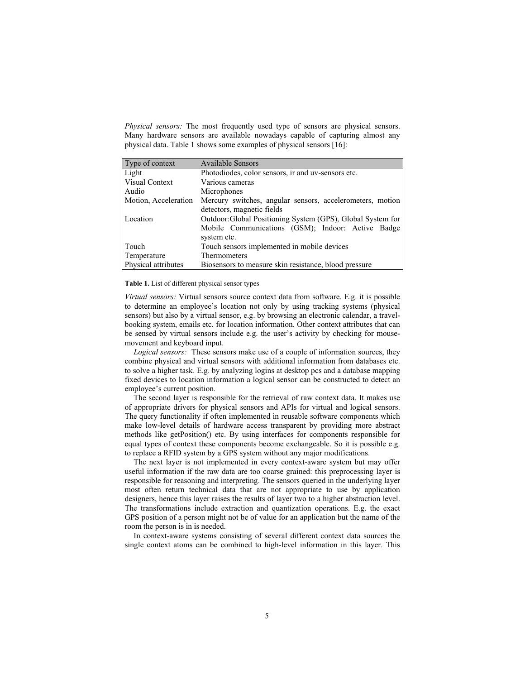*Physical sensors:* The most frequently used type of sensors are physical sensors. Many hardware sensors are available nowadays capable of capturing almost any physical data. Table 1 shows some examples of physical sensors [16]:

| Type of context      | <b>Available Sensors</b>                                                                |  |  |  |
|----------------------|-----------------------------------------------------------------------------------------|--|--|--|
| Light                | Photodiodes, color sensors, ir and uv-sensors etc.                                      |  |  |  |
| Visual Context       | Various cameras                                                                         |  |  |  |
| Audio                | Microphones                                                                             |  |  |  |
| Motion, Acceleration | Mercury switches, angular sensors, accelerometers, motion<br>detectors, magnetic fields |  |  |  |
| Location             | Outdoor: Global Positioning System (GPS), Global System for                             |  |  |  |
|                      | Mobile Communications (GSM); Indoor: Active Badge<br>system etc.                        |  |  |  |
| Touch                | Touch sensors implemented in mobile devices                                             |  |  |  |
| Temperature          | Thermometers                                                                            |  |  |  |
| Physical attributes  | Biosensors to measure skin resistance, blood pressure                                   |  |  |  |

### **Table 1.** List of different physical sensor types

*Virtual sensors:* Virtual sensors source context data from software. E.g. it is possible to determine an employee's location not only by using tracking systems (physical sensors) but also by a virtual sensor, e.g. by browsing an electronic calendar, a travelbooking system, emails etc. for location information. Other context attributes that can be sensed by virtual sensors include e.g. the user's activity by checking for mousemovement and keyboard input.

 *Logical sensors:* These sensors make use of a couple of information sources, they combine physical and virtual sensors with additional information from databases etc. to solve a higher task. E.g. by analyzing logins at desktop pcs and a database mapping fixed devices to location information a logical sensor can be constructed to detect an employee's current position.

The second layer is responsible for the retrieval of raw context data. It makes use of appropriate drivers for physical sensors and APIs for virtual and logical sensors. The query functionality if often implemented in reusable software components which make low-level details of hardware access transparent by providing more abstract methods like getPosition() etc. By using interfaces for components responsible for equal types of context these components become exchangeable. So it is possible e.g. to replace a RFID system by a GPS system without any major modifications.

The next layer is not implemented in every context-aware system but may offer useful information if the raw data are too coarse grained: this preprocessing layer is responsible for reasoning and interpreting. The sensors queried in the underlying layer most often return technical data that are not appropriate to use by application designers, hence this layer raises the results of layer two to a higher abstraction level. The transformations include extraction and quantization operations. E.g. the exact GPS position of a person might not be of value for an application but the name of the room the person is in is needed.

In context-aware systems consisting of several different context data sources the single context atoms can be combined to high-level information in this layer. This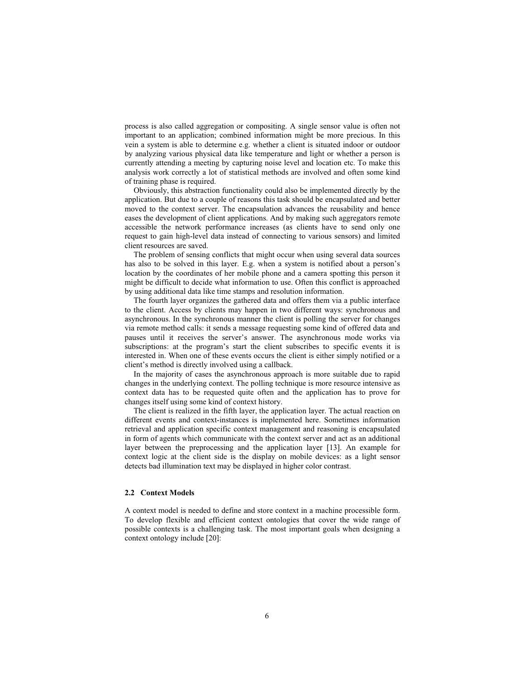process is also called aggregation or compositing. A single sensor value is often not important to an application; combined information might be more precious. In this vein a system is able to determine e.g. whether a client is situated indoor or outdoor by analyzing various physical data like temperature and light or whether a person is currently attending a meeting by capturing noise level and location etc. To make this analysis work correctly a lot of statistical methods are involved and often some kind of training phase is required.

Obviously, this abstraction functionality could also be implemented directly by the application. But due to a couple of reasons this task should be encapsulated and better moved to the context server. The encapsulation advances the reusability and hence eases the development of client applications. And by making such aggregators remote accessible the network performance increases (as clients have to send only one request to gain high-level data instead of connecting to various sensors) and limited client resources are saved.

The problem of sensing conflicts that might occur when using several data sources has also to be solved in this layer. E.g. when a system is notified about a person's location by the coordinates of her mobile phone and a camera spotting this person it might be difficult to decide what information to use. Often this conflict is approached by using additional data like time stamps and resolution information.

The fourth layer organizes the gathered data and offers them via a public interface to the client. Access by clients may happen in two different ways: synchronous and asynchronous. In the synchronous manner the client is polling the server for changes via remote method calls: it sends a message requesting some kind of offered data and pauses until it receives the server's answer. The asynchronous mode works via subscriptions: at the program's start the client subscribes to specific events it is interested in. When one of these events occurs the client is either simply notified or a client's method is directly involved using a callback.

In the majority of cases the asynchronous approach is more suitable due to rapid changes in the underlying context. The polling technique is more resource intensive as context data has to be requested quite often and the application has to prove for changes itself using some kind of context history.

The client is realized in the fifth layer, the application layer. The actual reaction on different events and context-instances is implemented here. Sometimes information retrieval and application specific context management and reasoning is encapsulated in form of agents which communicate with the context server and act as an additional layer between the preprocessing and the application layer [13]. An example for context logic at the client side is the display on mobile devices: as a light sensor detects bad illumination text may be displayed in higher color contrast.

### **2.2 Context Models**

A context model is needed to define and store context in a machine processible form. To develop flexible and efficient context ontologies that cover the wide range of possible contexts is a challenging task. The most important goals when designing a context ontology include [20]: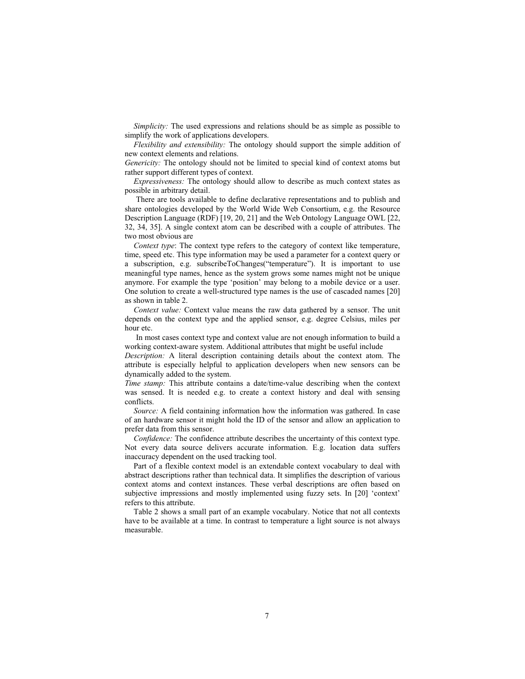*Simplicity:* The used expressions and relations should be as simple as possible to simplify the work of applications developers.

 *Flexibility and extensibility:* The ontology should support the simple addition of new context elements and relations.

*Genericity:* The ontology should not be limited to special kind of context atoms but rather support different types of context.

 *Expressiveness:* The ontology should allow to describe as much context states as possible in arbitrary detail.

There are tools available to define declarative representations and to publish and share ontologies developed by the World Wide Web Consortium, e.g. the Resource Description Language (RDF) [19, 20, 21] and the Web Ontology Language OWL [22, 32, 34, 35]. A single context atom can be described with a couple of attributes. The two most obvious are

 *Context type*: The context type refers to the category of context like temperature, time, speed etc. This type information may be used a parameter for a context query or a subscription, e.g. subscribeToChanges("temperature"). It is important to use meaningful type names, hence as the system grows some names might not be unique anymore. For example the type 'position' may belong to a mobile device or a user. One solution to create a well-structured type names is the use of cascaded names [20] as shown in table 2.

 *Context value:* Context value means the raw data gathered by a sensor. The unit depends on the context type and the applied sensor, e.g. degree Celsius, miles per hour etc.

In most cases context type and context value are not enough information to build a working context-aware system. Additional attributes that might be useful include

*Description:* A literal description containing details about the context atom. The attribute is especially helpful to application developers when new sensors can be dynamically added to the system.

*Time stamp:* This attribute contains a date/time-value describing when the context was sensed. It is needed e.g. to create a context history and deal with sensing conflicts.

 *Source:* A field containing information how the information was gathered. In case of an hardware sensor it might hold the ID of the sensor and allow an application to prefer data from this sensor.

 *Confidence:* The confidence attribute describes the uncertainty of this context type. Not every data source delivers accurate information. E.g. location data suffers inaccuracy dependent on the used tracking tool.

Part of a flexible context model is an extendable context vocabulary to deal with abstract descriptions rather than technical data. It simplifies the description of various context atoms and context instances. These verbal descriptions are often based on subjective impressions and mostly implemented using fuzzy sets. In [20] 'context' refers to this attribute.

Table 2 shows a small part of an example vocabulary. Notice that not all contexts have to be available at a time. In contrast to temperature a light source is not always measurable.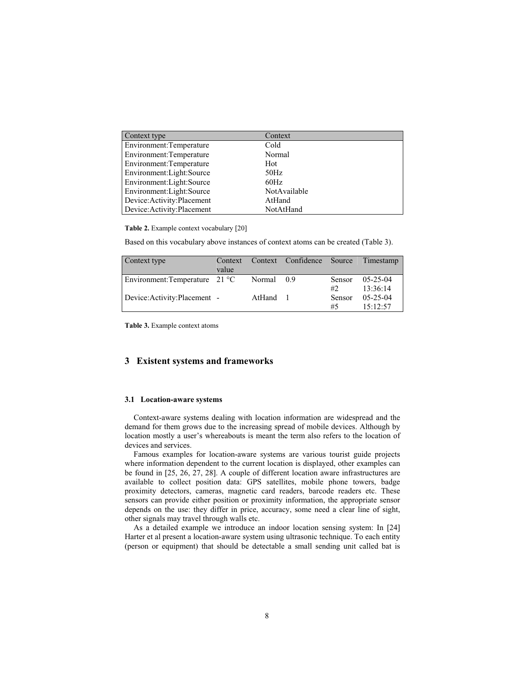| Context type                | Context      |
|-----------------------------|--------------|
| Environment:Temperature     | Cold         |
| Environment:Temperature     | Normal       |
| Environment:Temperature     | Hot          |
| Environment: Light: Source  | 50Hz         |
| Environment: Light: Source  | 60Hz         |
| Environment: Light: Source  | NotAvailable |
| Device: Activity: Placement | AtHand       |
| Device: Activity: Placement | NotAtHand    |

**Table 2.** Example context vocabulary [20]

Based on this vocabulary above instances of context atoms can be created (Table 3).

| Context type                           | Context<br>value |            | Context Confidence | Source       | Timestamp                     |
|----------------------------------------|------------------|------------|--------------------|--------------|-------------------------------|
| Environment:Temperature $21^{\circ}$ C |                  | Normal 0.9 |                    | Sensor<br>#2 | $0.5 - 2.5 - 0.4$<br>13:36:14 |
| Device: Activity: Placement -          |                  | AtHand 1   |                    | Sensor<br>#5 | $0.5 - 2.5 - 0.4$<br>15:12:57 |

**Table 3.** Example context atoms

# **3 Existent systems and frameworks**

## **3.1 Location-aware systems**

Context-aware systems dealing with location information are widespread and the demand for them grows due to the increasing spread of mobile devices. Although by location mostly a user's whereabouts is meant the term also refers to the location of devices and services.

Famous examples for location-aware systems are various tourist guide projects where information dependent to the current location is displayed, other examples can be found in [25, 26, 27, 28]. A couple of different location aware infrastructures are available to collect position data: GPS satellites, mobile phone towers, badge proximity detectors, cameras, magnetic card readers, barcode readers etc. These sensors can provide either position or proximity information, the appropriate sensor depends on the use: they differ in price, accuracy, some need a clear line of sight, other signals may travel through walls etc.

As a detailed example we introduce an indoor location sensing system: In [24] Harter et al present a location-aware system using ultrasonic technique. To each entity (person or equipment) that should be detectable a small sending unit called bat is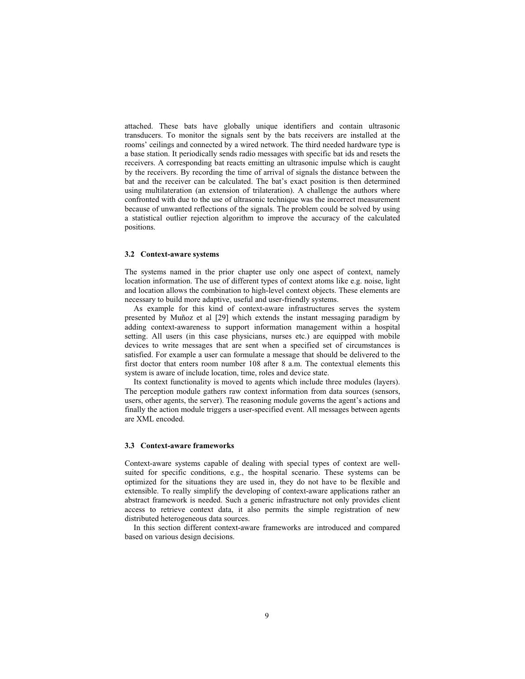attached. These bats have globally unique identifiers and contain ultrasonic transducers. To monitor the signals sent by the bats receivers are installed at the rooms' ceilings and connected by a wired network. The third needed hardware type is a base station. It periodically sends radio messages with specific bat ids and resets the receivers. A corresponding bat reacts emitting an ultrasonic impulse which is caught by the receivers. By recording the time of arrival of signals the distance between the bat and the receiver can be calculated. The bat's exact position is then determined using multilateration (an extension of trilateration). A challenge the authors where confronted with due to the use of ultrasonic technique was the incorrect measurement because of unwanted reflections of the signals. The problem could be solved by using a statistical outlier rejection algorithm to improve the accuracy of the calculated positions.

## **3.2 Context-aware systems**

The systems named in the prior chapter use only one aspect of context, namely location information. The use of different types of context atoms like e.g. noise, light and location allows the combination to high-level context objects. These elements are necessary to build more adaptive, useful and user-friendly systems.

As example for this kind of context-aware infrastructures serves the system presented by Muñoz et al [29] which extends the instant messaging paradigm by adding context-awareness to support information management within a hospital setting. All users (in this case physicians, nurses etc.) are equipped with mobile devices to write messages that are sent when a specified set of circumstances is satisfied. For example a user can formulate a message that should be delivered to the first doctor that enters room number 108 after 8 a.m. The contextual elements this system is aware of include location, time, roles and device state.

Its context functionality is moved to agents which include three modules (layers). The perception module gathers raw context information from data sources (sensors, users, other agents, the server). The reasoning module governs the agent's actions and finally the action module triggers a user-specified event. All messages between agents are XML encoded.

#### **3.3 Context-aware frameworks**

Context-aware systems capable of dealing with special types of context are wellsuited for specific conditions, e.g., the hospital scenario. These systems can be optimized for the situations they are used in, they do not have to be flexible and extensible. To really simplify the developing of context-aware applications rather an abstract framework is needed. Such a generic infrastructure not only provides client access to retrieve context data, it also permits the simple registration of new distributed heterogeneous data sources.

In this section different context-aware frameworks are introduced and compared based on various design decisions.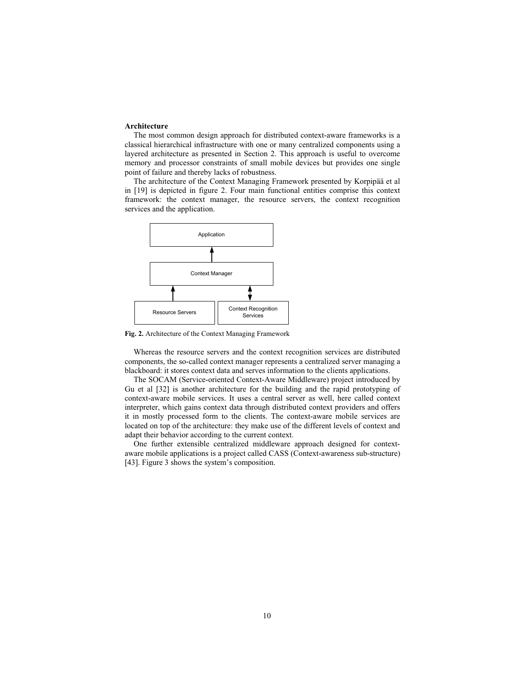## **Architecture**

The most common design approach for distributed context-aware frameworks is a classical hierarchical infrastructure with one or many centralized components using a layered architecture as presented in Section 2. This approach is useful to overcome memory and processor constraints of small mobile devices but provides one single point of failure and thereby lacks of robustness.

The architecture of the Context Managing Framework presented by Korpipää et al in [19] is depicted in figure 2. Four main functional entities comprise this context framework: the context manager, the resource servers, the context recognition services and the application.



**Fig. 2.** Architecture of the Context Managing Framework

Whereas the resource servers and the context recognition services are distributed components, the so-called context manager represents a centralized server managing a blackboard: it stores context data and serves information to the clients applications.

The SOCAM (Service-oriented Context-Aware Middleware) project introduced by Gu et al [32] is another architecture for the building and the rapid prototyping of context-aware mobile services. It uses a central server as well, here called context interpreter, which gains context data through distributed context providers and offers it in mostly processed form to the clients. The context-aware mobile services are located on top of the architecture: they make use of the different levels of context and adapt their behavior according to the current context.

One further extensible centralized middleware approach designed for contextaware mobile applications is a project called CASS (Context-awareness sub-structure) [43]. Figure 3 shows the system's composition.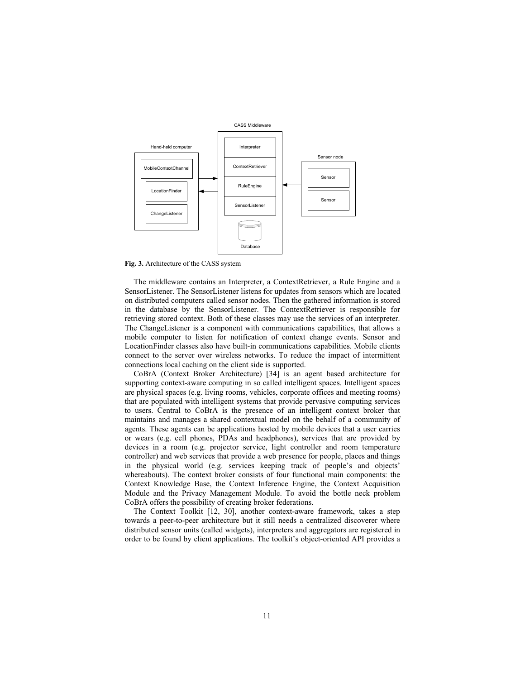

**Fig. 3.** Architecture of the CASS system

The middleware contains an Interpreter, a ContextRetriever, a Rule Engine and a SensorListener. The SensorListener listens for updates from sensors which are located on distributed computers called sensor nodes. Then the gathered information is stored in the database by the SensorListener. The ContextRetriever is responsible for retrieving stored context. Both of these classes may use the services of an interpreter. The ChangeListener is a component with communications capabilities, that allows a mobile computer to listen for notification of context change events. Sensor and LocationFinder classes also have built-in communications capabilities. Mobile clients connect to the server over wireless networks. To reduce the impact of intermittent connections local caching on the client side is supported.

CoBrA (Context Broker Architecture) [34] is an agent based architecture for supporting context-aware computing in so called intelligent spaces. Intelligent spaces are physical spaces (e.g. living rooms, vehicles, corporate offices and meeting rooms) that are populated with intelligent systems that provide pervasive computing services to users. Central to CoBrA is the presence of an intelligent context broker that maintains and manages a shared contextual model on the behalf of a community of agents. These agents can be applications hosted by mobile devices that a user carries or wears (e.g. cell phones, PDAs and headphones), services that are provided by devices in a room (e.g. projector service, light controller and room temperature controller) and web services that provide a web presence for people, places and things in the physical world (e.g. services keeping track of people's and objects' whereabouts). The context broker consists of four functional main components: the Context Knowledge Base, the Context Inference Engine, the Context Acquisition Module and the Privacy Management Module. To avoid the bottle neck problem CoBrA offers the possibility of creating broker federations.

The Context Toolkit [12, 30], another context-aware framework, takes a step towards a peer-to-peer architecture but it still needs a centralized discoverer where distributed sensor units (called widgets), interpreters and aggregators are registered in order to be found by client applications. The toolkit's object-oriented API provides a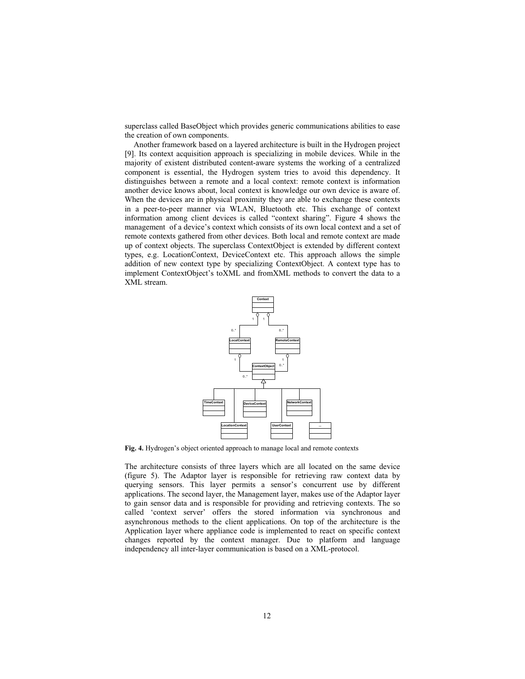superclass called BaseObject which provides generic communications abilities to ease the creation of own components.

Another framework based on a layered architecture is built in the Hydrogen project [9]. Its context acquisition approach is specializing in mobile devices. While in the majority of existent distributed content-aware systems the working of a centralized component is essential, the Hydrogen system tries to avoid this dependency. It distinguishes between a remote and a local context: remote context is information another device knows about, local context is knowledge our own device is aware of. When the devices are in physical proximity they are able to exchange these contexts in a peer-to-peer manner via WLAN, Bluetooth etc. This exchange of context information among client devices is called "context sharing". Figure 4 shows the management of a device's context which consists of its own local context and a set of remote contexts gathered from other devices. Both local and remote context are made up of context objects. The superclass ContextObject is extended by different context types, e.g. LocationContext, DeviceContext etc. This approach allows the simple addition of new context type by specializing ContextObject. A context type has to implement ContextObject's toXML and fromXML methods to convert the data to a XML stream.



**Fig. 4.** Hydrogen's object oriented approach to manage local and remote contexts

The architecture consists of three layers which are all located on the same device (figure 5). The Adaptor layer is responsible for retrieving raw context data by querying sensors. This layer permits a sensor's concurrent use by different applications. The second layer, the Management layer, makes use of the Adaptor layer to gain sensor data and is responsible for providing and retrieving contexts. The so called 'context server' offers the stored information via synchronous and asynchronous methods to the client applications. On top of the architecture is the Application layer where appliance code is implemented to react on specific context changes reported by the context manager. Due to platform and language independency all inter-layer communication is based on a XML-protocol.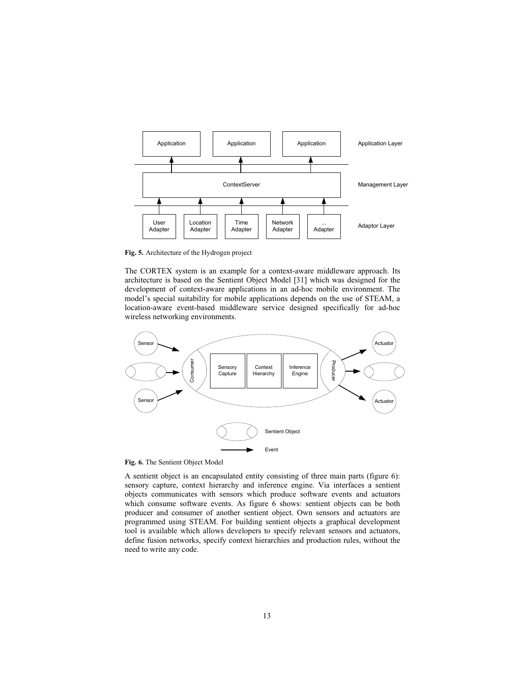

**Fig. 5.** Architecture of the Hydrogen project

The CORTEX system is an example for a context-aware middleware approach. Its architecture is based on the Sentient Object Model [31] which was designed for the development of context-aware applications in an ad-hoc mobile environment. The model's special suitability for mobile applications depends on the use of STEAM, a location-aware event-based middleware service designed specifically for ad-hoc wireless networking environments.



**Fig. 6.** The Sentient Object Model

A sentient object is an encapsulated entity consisting of three main parts (figure 6): sensory capture, context hierarchy and inference engine. Via interfaces a sentient objects communicates with sensors which produce software events and actuators which consume software events. As figure 6 shows: sentient objects can be both producer and consumer of another sentient object. Own sensors and actuators are programmed using STEAM. For building sentient objects a graphical development tool is available which allows developers to specify relevant sensors and actuators, define fusion networks, specify context hierarchies and production rules, without the need to write any code.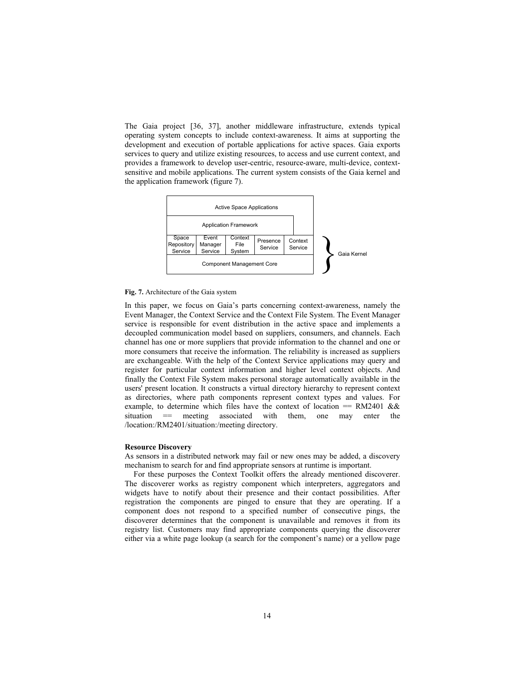The Gaia project [36, 37], another middleware infrastructure, extends typical operating system concepts to include context-awareness. It aims at supporting the development and execution of portable applications for active spaces. Gaia exports services to query and utilize existing resources, to access and use current context, and provides a framework to develop user-centric, resource-aware, multi-device, contextsensitive and mobile applications. The current system consists of the Gaia kernel and the application framework (figure 7).



## **Fig. 7.** Architecture of the Gaia system

In this paper, we focus on Gaia's parts concerning context-awareness, namely the Event Manager, the Context Service and the Context File System. The Event Manager service is responsible for event distribution in the active space and implements a decoupled communication model based on suppliers, consumers, and channels. Each channel has one or more suppliers that provide information to the channel and one or more consumers that receive the information. The reliability is increased as suppliers are exchangeable. With the help of the Context Service applications may query and register for particular context information and higher level context objects. And finally the Context File System makes personal storage automatically available in the users' present location. It constructs a virtual directory hierarchy to represent context as directories, where path components represent context types and values. For example, to determine which files have the context of location ==  $RM2401$  && situation == meeting associated with them, one may enter the /location:/RM2401/situation:/meeting directory.

## **Resource Discovery**

As sensors in a distributed network may fail or new ones may be added, a discovery mechanism to search for and find appropriate sensors at runtime is important.

For these purposes the Context Toolkit offers the already mentioned discoverer. The discoverer works as registry component which interpreters, aggregators and widgets have to notify about their presence and their contact possibilities. After registration the components are pinged to ensure that they are operating. If a component does not respond to a specified number of consecutive pings, the discoverer determines that the component is unavailable and removes it from its registry list. Customers may find appropriate components querying the discoverer either via a white page lookup (a search for the component's name) or a yellow page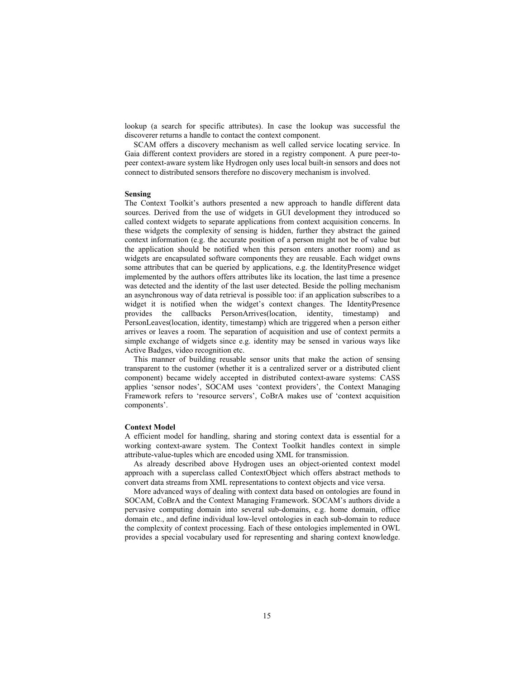lookup (a search for specific attributes). In case the lookup was successful the discoverer returns a handle to contact the context component.

SCAM offers a discovery mechanism as well called service locating service. In Gaia different context providers are stored in a registry component. A pure peer-topeer context-aware system like Hydrogen only uses local built-in sensors and does not connect to distributed sensors therefore no discovery mechanism is involved.

#### **Sensing**

The Context Toolkit's authors presented a new approach to handle different data sources. Derived from the use of widgets in GUI development they introduced so called context widgets to separate applications from context acquisition concerns. In these widgets the complexity of sensing is hidden, further they abstract the gained context information (e.g. the accurate position of a person might not be of value but the application should be notified when this person enters another room) and as widgets are encapsulated software components they are reusable. Each widget owns some attributes that can be queried by applications, e.g. the IdentityPresence widget implemented by the authors offers attributes like its location, the last time a presence was detected and the identity of the last user detected. Beside the polling mechanism an asynchronous way of data retrieval is possible too: if an application subscribes to a widget it is notified when the widget's context changes. The IdentityPresence provides the callbacks PersonArrives(location, identity, timestamp) and PersonLeaves(location, identity, timestamp) which are triggered when a person either arrives or leaves a room. The separation of acquisition and use of context permits a simple exchange of widgets since e.g. identity may be sensed in various ways like Active Badges, video recognition etc.

This manner of building reusable sensor units that make the action of sensing transparent to the customer (whether it is a centralized server or a distributed client component) became widely accepted in distributed context-aware systems: CASS applies 'sensor nodes', SOCAM uses 'context providers', the Context Managing Framework refers to 'resource servers', CoBrA makes use of 'context acquisition components'.

#### **Context Model**

A efficient model for handling, sharing and storing context data is essential for a working context-aware system. The Context Toolkit handles context in simple attribute-value-tuples which are encoded using XML for transmission.

As already described above Hydrogen uses an object-oriented context model approach with a superclass called ContextObject which offers abstract methods to convert data streams from XML representations to context objects and vice versa.

More advanced ways of dealing with context data based on ontologies are found in SOCAM, CoBrA and the Context Managing Framework. SOCAM's authors divide a pervasive computing domain into several sub-domains, e.g. home domain, office domain etc., and define individual low-level ontologies in each sub-domain to reduce the complexity of context processing. Each of these ontologies implemented in OWL provides a special vocabulary used for representing and sharing context knowledge.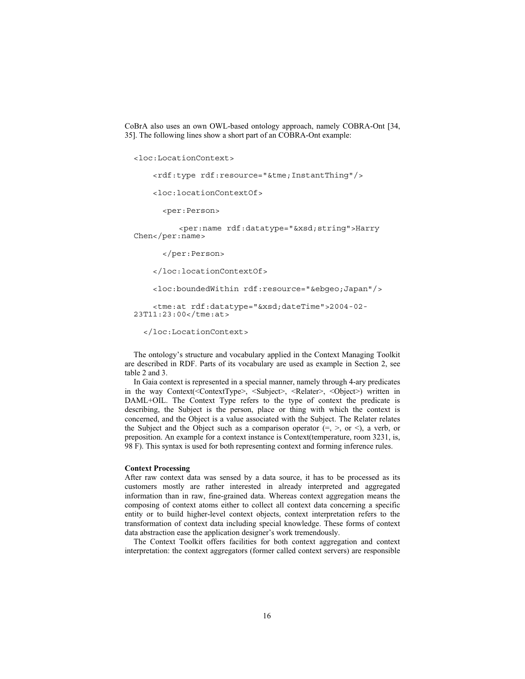CoBrA also uses an own OWL-based ontology approach, namely COBRA-Ont [34, 35]. The following lines show a short part of an COBRA-Ont example:

<loc:LocationContext>

```
 <rdf:type rdf:resource="&tme;InstantThing"/> 
     <loc:locationContextOf> 
       <per:Person> 
           <per:name rdf:datatype="&xsd;string">Harry 
Chen</per:name>
       </per:Person> 
     </loc:locationContextOf> 
     <loc:boundedWithin rdf:resource="&ebgeo;Japan"/> 
     <tme:at rdf:datatype="&xsd;dateTime">2004-02-
23T11:23:00</tme:at>
```
</loc:LocationContext>

The ontology's structure and vocabulary applied in the Context Managing Toolkit are described in RDF. Parts of its vocabulary are used as example in Section 2, see table 2 and 3.

In Gaia context is represented in a special manner, namely through 4-ary predicates in the way Context(<ContextType>, <Subject>, <Relater>, <Object>) written in DAML+OIL. The Context Type refers to the type of context the predicate is describing, the Subject is the person, place or thing with which the context is concerned, and the Object is a value associated with the Subject. The Relater relates the Subject and the Object such as a comparison operator  $(=, >, \text{or } <)$ , a verb, or preposition. An example for a context instance is Context(temperature, room 3231, is, 98 F). This syntax is used for both representing context and forming inference rules.

#### **Context Processing**

After raw context data was sensed by a data source, it has to be processed as its customers mostly are rather interested in already interpreted and aggregated information than in raw, fine-grained data. Whereas context aggregation means the composing of context atoms either to collect all context data concerning a specific entity or to build higher-level context objects, context interpretation refers to the transformation of context data including special knowledge. These forms of context data abstraction ease the application designer's work tremendously.

The Context Toolkit offers facilities for both context aggregation and context interpretation: the context aggregators (former called context servers) are responsible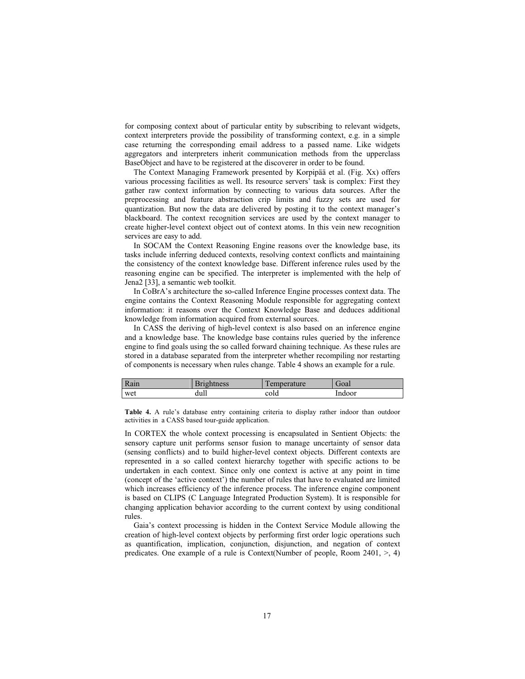for composing context about of particular entity by subscribing to relevant widgets, context interpreters provide the possibility of transforming context, e.g. in a simple case returning the corresponding email address to a passed name. Like widgets aggregators and interpreters inherit communication methods from the upperclass BaseObject and have to be registered at the discoverer in order to be found.

The Context Managing Framework presented by Korpipää et al. (Fig. Xx) offers various processing facilities as well. Its resource servers' task is complex: First they gather raw context information by connecting to various data sources. After the preprocessing and feature abstraction crip limits and fuzzy sets are used for quantization. But now the data are delivered by posting it to the context manager's blackboard. The context recognition services are used by the context manager to create higher-level context object out of context atoms. In this vein new recognition services are easy to add.

In SOCAM the Context Reasoning Engine reasons over the knowledge base, its tasks include inferring deduced contexts, resolving context conflicts and maintaining the consistency of the context knowledge base. Different inference rules used by the reasoning engine can be specified. The interpreter is implemented with the help of Jena2 [33], a semantic web toolkit.

In CoBrA's architecture the so-called Inference Engine processes context data. The engine contains the Context Reasoning Module responsible for aggregating context information: it reasons over the Context Knowledge Base and deduces additional knowledge from information acquired from external sources.

In CASS the deriving of high-level context is also based on an inference engine and a knowledge base. The knowledge base contains rules queried by the inference engine to find goals using the so called forward chaining technique. As these rules are stored in a database separated from the interpreter whether recompiling nor restarting of components is necessary when rules change. Table 4 shows an example for a rule.

| Rain | 1ghtness | emperature | ~<br>J0al |
|------|----------|------------|-----------|
| wet  | dull     | cold       | ndoor     |

**Table 4.** A rule's database entry containing criteria to display rather indoor than outdoor activities in a CASS based tour-guide application.

In CORTEX the whole context processing is encapsulated in Sentient Objects: the sensory capture unit performs sensor fusion to manage uncertainty of sensor data (sensing conflicts) and to build higher-level context objects. Different contexts are represented in a so called context hierarchy together with specific actions to be undertaken in each context. Since only one context is active at any point in time (concept of the 'active context') the number of rules that have to evaluated are limited which increases efficiency of the inference process. The inference engine component is based on CLIPS (C Language Integrated Production System). It is responsible for changing application behavior according to the current context by using conditional rules.

Gaia's context processing is hidden in the Context Service Module allowing the creation of high-level context objects by performing first order logic operations such as quantification, implication, conjunction, disjunction, and negation of context predicates. One example of a rule is Context(Number of people, Room 2401, >, 4)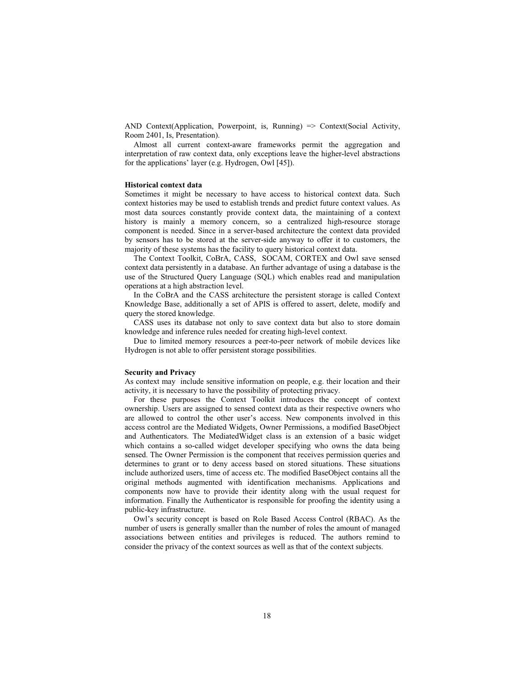AND Context(Application, Powerpoint, is, Running)  $\Rightarrow$  Context(Social Activity, Room 2401, Is, Presentation).

Almost all current context-aware frameworks permit the aggregation and interpretation of raw context data, only exceptions leave the higher-level abstractions for the applications' layer (e.g. Hydrogen, Owl [45]).

#### **Historical context data**

Sometimes it might be necessary to have access to historical context data. Such context histories may be used to establish trends and predict future context values. As most data sources constantly provide context data, the maintaining of a context history is mainly a memory concern, so a centralized high-resource storage component is needed. Since in a server-based architecture the context data provided by sensors has to be stored at the server-side anyway to offer it to customers, the majority of these systems has the facility to query historical context data.

The Context Toolkit, CoBrA, CASS, SOCAM, CORTEX and Owl save sensed context data persistently in a database. An further advantage of using a database is the use of the Structured Query Language (SQL) which enables read and manipulation operations at a high abstraction level.

In the CoBrA and the CASS architecture the persistent storage is called Context Knowledge Base, additionally a set of APIS is offered to assert, delete, modify and query the stored knowledge.

CASS uses its database not only to save context data but also to store domain knowledge and inference rules needed for creating high-level context.

Due to limited memory resources a peer-to-peer network of mobile devices like Hydrogen is not able to offer persistent storage possibilities.

## **Security and Privacy**

As context may include sensitive information on people, e.g. their location and their activity, it is necessary to have the possibility of protecting privacy.

For these purposes the Context Toolkit introduces the concept of context ownership. Users are assigned to sensed context data as their respective owners who are allowed to control the other user's access. New components involved in this access control are the Mediated Widgets, Owner Permissions, a modified BaseObject and Authenticators. The MediatedWidget class is an extension of a basic widget which contains a so-called widget developer specifying who owns the data being sensed. The Owner Permission is the component that receives permission queries and determines to grant or to deny access based on stored situations. These situations include authorized users, time of access etc. The modified BaseObject contains all the original methods augmented with identification mechanisms. Applications and components now have to provide their identity along with the usual request for information. Finally the Authenticator is responsible for proofing the identity using a public-key infrastructure.

Owl's security concept is based on Role Based Access Control (RBAC). As the number of users is generally smaller than the number of roles the amount of managed associations between entities and privileges is reduced. The authors remind to consider the privacy of the context sources as well as that of the context subjects.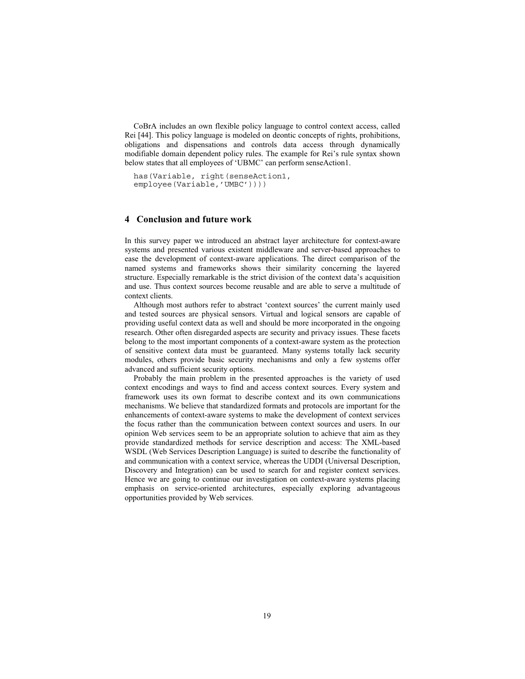CoBrA includes an own flexible policy language to control context access, called Rei [44]. This policy language is modeled on deontic concepts of rights, prohibitions, obligations and dispensations and controls data access through dynamically modifiable domain dependent policy rules. The example for Rei's rule syntax shown below states that all employees of 'UBMC' can perform senseAction1.

```
has(Variable, right(senseAction1, 
employee(Variable,'UMBC'))))
```
## **4 Conclusion and future work**

In this survey paper we introduced an abstract layer architecture for context-aware systems and presented various existent middleware and server-based approaches to ease the development of context-aware applications. The direct comparison of the named systems and frameworks shows their similarity concerning the layered structure. Especially remarkable is the strict division of the context data's acquisition and use. Thus context sources become reusable and are able to serve a multitude of context clients.

Although most authors refer to abstract 'context sources' the current mainly used and tested sources are physical sensors. Virtual and logical sensors are capable of providing useful context data as well and should be more incorporated in the ongoing research. Other often disregarded aspects are security and privacy issues. These facets belong to the most important components of a context-aware system as the protection of sensitive context data must be guaranteed. Many systems totally lack security modules, others provide basic security mechanisms and only a few systems offer advanced and sufficient security options.

Probably the main problem in the presented approaches is the variety of used context encodings and ways to find and access context sources. Every system and framework uses its own format to describe context and its own communications mechanisms. We believe that standardized formats and protocols are important for the enhancements of context-aware systems to make the development of context services the focus rather than the communication between context sources and users. In our opinion Web services seem to be an appropriate solution to achieve that aim as they provide standardized methods for service description and access: The XML-based WSDL (Web Services Description Language) is suited to describe the functionality of and communication with a context service, whereas the UDDI (Universal Description, Discovery and Integration) can be used to search for and register context services. Hence we are going to continue our investigation on context-aware systems placing emphasis on service-oriented architectures, especially exploring advantageous opportunities provided by Web services.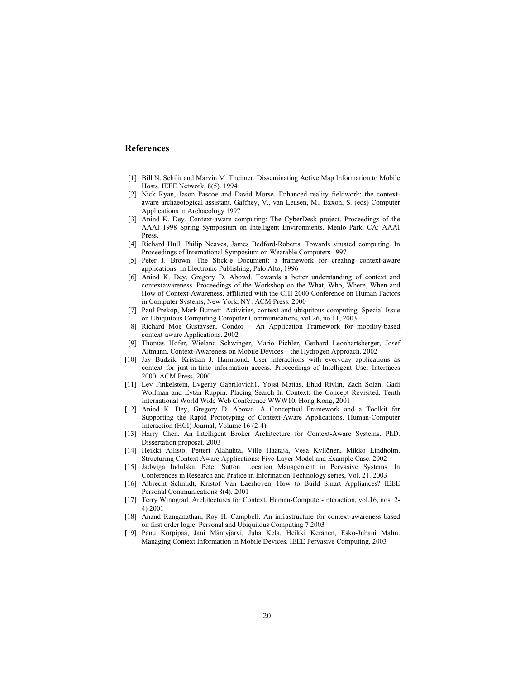## **References**

- [1] Bill N. Schilit and Marvin M. Theimer. Disseminating Active Map Information to Mobile Hosts. IEEE Network, 8(5). 1994
- [2] Nick Ryan, Jason Pascoe and David Morse. Enhanced reality fieldwork: the contextaware archaeological assistant. Gaffney, V., van Leusen, M., Exxon, S. (eds) Computer Applications in Archaeology 1997
- [3] Anind K. Dey. Context-aware computing: The CyberDesk project. Proceedings of the AAAI 1998 Spring Symposium on Intelligent Environments. Menlo Park, CA: AAAI Press.
- [4] Richard Hull, Philip Neaves, James Bedford-Roberts. Towards situated computing. In Proceedings of International Symposium on Wearable Computers 1997
- [5] Peter J. Brown. The Stick-e Document: a framework for creating context-aware applications. In Electronic Publishing, Palo Alto, 1996
- [6] Anind K. Dey, Gregory D. Abowd. Towards a better understanding of context and contextawareness. Proceedings of the Workshop on the What, Who, Where, When and How of Context-Awareness, affiliated with the CHI 2000 Conference on Human Factors in Computer Systems, New York, NY: ACM Press. 2000
- [7] Paul Prekop, Mark Burnett. Activities, context and ubiquitous computing. Special Issue on Ubiquitous Computing Computer Communications, vol.26, no.11, 2003
- [8] Richard Moe Gustavsen. Condor An Application Framework for mobility-based context-aware Applications. 2002
- [9] Thomas Hofer, Wieland Schwinger, Mario Pichler, Gerhard Leonhartsberger, Josef Altmann. Context-Awareness on Mobile Devices – the Hydrogen Approach. 2002
- [10] Jay Budzik, Kristian J. Hammond. User interactions with everyday applications as context for just-in-time information access. Proceedings of Intelligent User Interfaces 2000. ACM Press, 2000
- [11] Lev Finkelstein, Evgeniy Gabrilovich1, Yossi Matias, Ehud Rivlin, Zach Solan, Gadi Wolfman and Eytan Ruppin. Placing Search In Context: the Concept Revisited. Tenth International World Wide Web Conference WWW10, Hong Kong, 2001
- [12] Anind K. Dey, Gregory D. Abowd. A Conceptual Framework and a Toolkit for Supporting the Rapid Prototyping of Context-Aware Applications. Human-Computer Interaction (HCI) Journal, Volume 16 (2-4)
- [13] Harry Chen. An Intelligent Broker Architecture for Context-Aware Systems. PhD. Dissertation proposal. 2003
- [14] Heikki Ailisto, Petteri Alahuhta, Ville Haataja, Vesa Kyllönen, Mikko Lindholm. Structuring Context Aware Applications: Five-Layer Model and Example Case. 2002
- [15] Jadwiga Indulska, Peter Sutton. Location Management in Pervasive Systems. In Conferences in Research and Pratice in Information Technology series, Vol. 21. 2003
- [16] Albrecht Schmidt, Kristof Van Laerhoven. How to Build Smart Appliances? IEEE Personal Communications 8(4). 2001
- [17] Terry Winograd. Architectures for Context. Human-Computer-Interaction, vol.16, nos. 2-4) 2001
- [18] Anand Ranganathan, Roy H. Campbell. An infrastructure for context-awareness based on first order logic. Personal and Ubiquitous Computing 7 2003
- [19] Panu Korpipää, Jani Mäntyjärvi, Juha Kela, Heikki Keränen, Esko-Juhani Malm. Managing Context Information in Mobile Devices. IEEE Pervasive Computing. 2003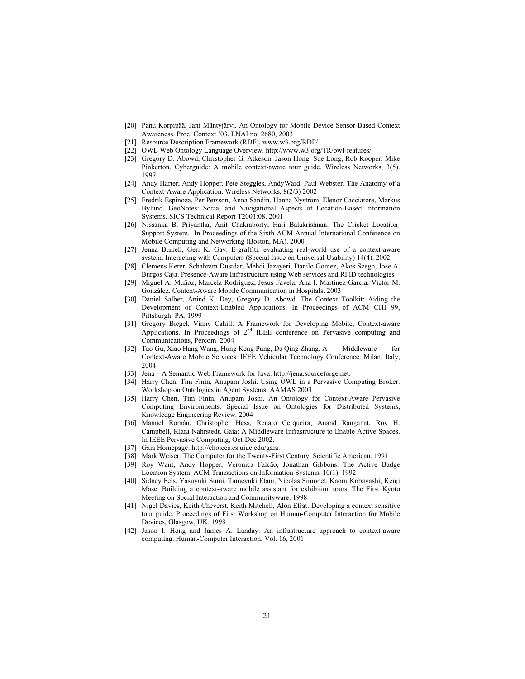- [20] Panu Korpipää, Jani Mäntyjärvi. An Ontology for Mobile Device Sensor-Based Context Awareness. Proc. Context '03, LNAI no. 2680, 2003
- [21] Resource Description Framework (RDF). www.w3.org/RDF/
- [22] OWL Web Ontology Language Overview. http://www.w3.org/TR/owl-features/
- [23] Gregory D. Abowd, Christopher G. Atkeson, Jason Hong, Sue Long, Rob Kooper, Mike Pinkerton. Cyberguide: A mobile context-aware tour guide. Wireless Networks, 3(5). 1997
- [24] Andy Harter, Andy Hopper, Pete Steggles, AndyWard, Paul Webster. The Anatomy of a Context-Aware Application. Wireless Networks, 8(2/3) 2002
- [25] Fredrik Espinoza, Per Persson, Anna Sandin, Hanna Nyström, Elenor Cacciatore, Markus Bylund. GeoNotes: Social and Navigational Aspects of Location-Based Information Systems. SICS Technical Report T2001:08. 2001
- [26] Nissanka B. Priyantha, Anit Chakraborty, Hari Balakrishnan. The Cricket Location-Support System. In Proceedings of the Sixth ACM Annual International Conference on Mobile Computing and Networking (Boston, MA). 2000
- [27] Jenna Burrell, Geri K. Gay. E-graffiti: evaluating real-world use of a context-aware system. Interacting with Computers (Special Issue on Universal Usability) 14(4). 2002
- [28] Clemens Kerer, Schahram Dustdar, Mehdi Jazayeri, Danilo Gomez, Akos Szego, Jose A. Burgos Caja. Presence-Aware Infrastructure using Web services and RFID technologies
- [29] Miguel A. Muñoz, Marcela Rodríguez, Jesus Favela, Ana I. Martinez-Garcia, Victor M. González. Context-Aware Mobile Communication in Hospitals. 2003
- [30] Daniel Salber, Anind K. Dey, Gregory D. Abowd. The Context Toolkit: Aiding the Development of Context-Enabled Applications. In Proceedings of ACM CHI 99, Pittsburgh, PA. 1999
- [31] Gregory Biegel, Vinny Cahill. A Framework for Developing Mobile, Context-aware Applications. In Proceedings of 2<sup>nd</sup> IEEE conference on Pervasive computing and Communications, Percom 2004
- [32] Tao Gu, Xiao Hang Wang, Hung Keng Pung, Da Qing Zhang. A Middleware for Context-Aware Mobile Services. IEEE Vehicular Technology Conference. Milan, Italy, 2004
- [33] Jena A Semantic Web Framework for Java. http://jena.sourceforge.net.
- [34] Harry Chen, Tim Finin, Anupam Joshi. Using OWL in a Pervasive Computing Broker. Workshop on Ontologies in Agent Systems, AAMAS 2003
- [35] Harry Chen, Tim Finin, Anupam Joshi. An Ontology for Context-Aware Pervasive Computing Environments. Special Issue on Ontologies for Distributed Systems, Knowledge Engineering Review. 2004
- [36] Manuel Román, Christopher Hess, Renato Cerqueira, Anand Ranganat, Roy H. Campbell, Klara Nahrstedt. Gaia: A Middleware Infrastructure to Enable Active Spaces. In IEEE Pervasive Computing, Oct-Dec 2002.
- [37] Gaia Homepage. http://choices.cs.uiuc.edu/gaia.
- [38] Mark Weiser. The Computer for the Twenty-First Century. Scientific American. 1991
- [39] Roy Want, Andy Hopper, Veronica Falcão, Jonathan Gibbons. The Active Badge Location System. ACM Transactions on Information Systems, 10(1), 1992
- [40] Sidney Fels, Yasuyuki Sumi, Tameyuki Etani, Nicolas Simonet, Kaoru Kobayashi, Kenji Mase. Building a context-aware mobile assistant for exhibition tours. The First Kyoto Meeting on Social Interaction and Communityware. 1998
- [41] Nigel Davies, Keith Cheverst, Keith Mitchell, Alon Efrat. Developing a context sensitive tour guide. Proceedings of First Workshop on Human-Computer Interaction for Mobile Devices, Glasgow, UK. 1998
- [42] Jason I. Hong and James A. Landay. An infrastructure approach to context-aware computing. Human-Computer Interaction, Vol. 16, 2001